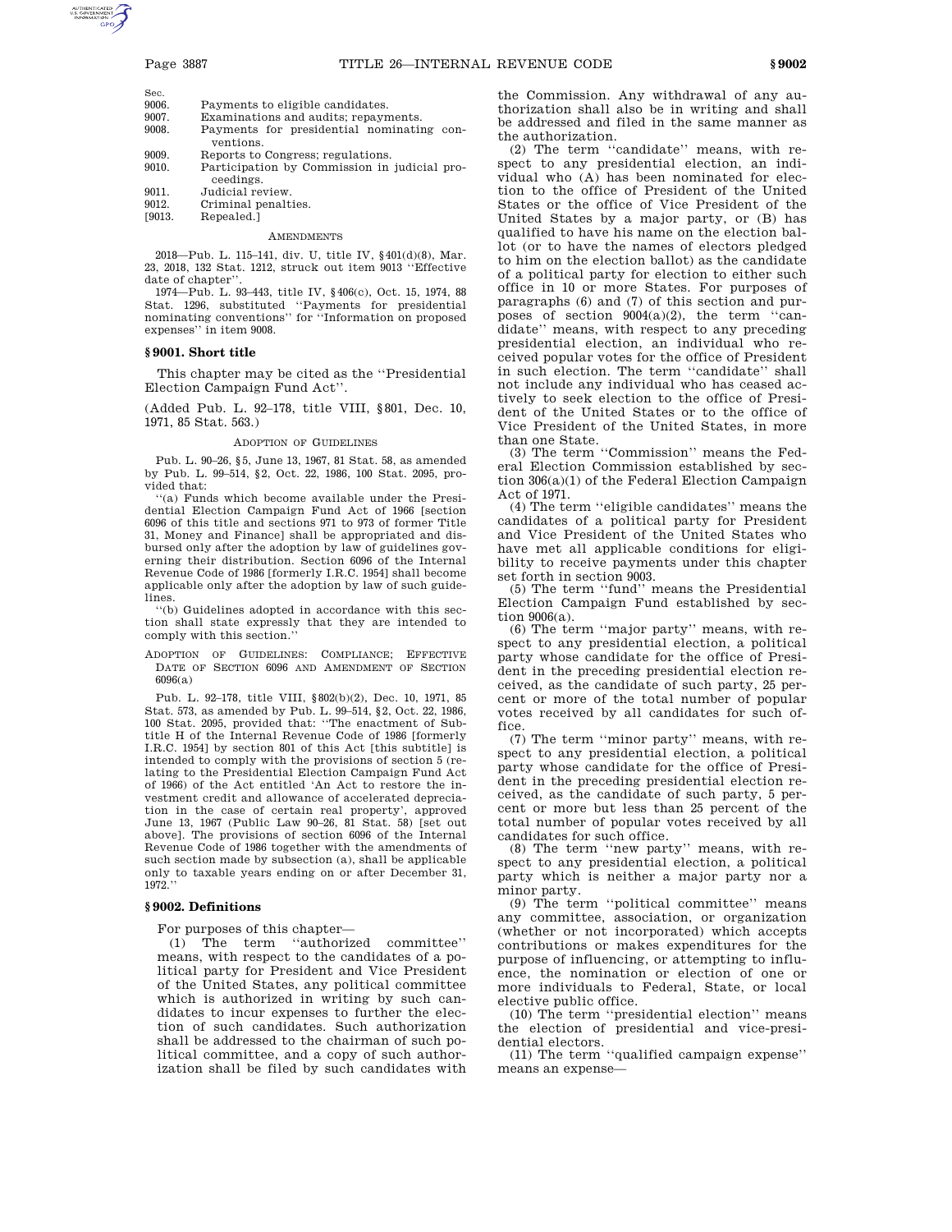| Sec.        |                                  |
|-------------|----------------------------------|
| 9006.       | Payments to eligible candidates. |
| <b>QOO7</b> | Examinations and audits: repaym  |

- epayments. 9008. Payments for presidential nominating conventions.
- 9009. Reports to Congress; regulations.
- 9010. Participation by Commission in judicial proceedings.
- 9011. Judicial review.
- 
- 9012. Criminal penalties.<br>[9013. Repealed.] Repealed.]

# **AMENDMENTS**

2018—Pub. L. 115–141, div. U, title IV, §401(d)(8), Mar. 23, 2018, 132 Stat. 1212, struck out item 9013 ''Effective date of chapter'

1974—Pub. L. 93–443, title IV, §406(c), Oct. 15, 1974, 88 Stat. 1296, substituted ''Payments for presidential nominating conventions'' for ''Information on proposed expenses'' in item 9008.

# **§ 9001. Short title**

This chapter may be cited as the ''Presidential Election Campaign Fund Act''.

(Added Pub. L. 92–178, title VIII, §801, Dec. 10, 1971, 85 Stat. 563.)

#### ADOPTION OF GUIDELINES

Pub. L. 90–26, §5, June 13, 1967, 81 Stat. 58, as amended by Pub. L. 99–514, §2, Oct. 22, 1986, 100 Stat. 2095, provided that:

''(a) Funds which become available under the Presidential Election Campaign Fund Act of 1966 [section 6096 of this title and sections 971 to 973 of former Title 31, Money and Finance] shall be appropriated and disbursed only after the adoption by law of guidelines governing their distribution. Section 6096 of the Internal Revenue Code of 1986 [formerly I.R.C. 1954] shall become applicable only after the adoption by law of such guidelines.

''(b) Guidelines adopted in accordance with this section shall state expressly that they are intended to comply with this section.''

ADOPTION OF GUIDELINES: COMPLIANCE; EFFECTIVE DATE OF SECTION 6096 AND AMENDMENT OF SECTION 6096(a)

Pub. L. 92–178, title VIII, §802(b)(2), Dec. 10, 1971, 85 Stat. 573, as amended by Pub. L. 99–514, §2, Oct. 22, 1986, 100 Stat. 2095, provided that: ''The enactment of Subtitle H of the Internal Revenue Code of 1986 [formerly I.R.C. 1954] by section 801 of this Act [this subtitle] is intended to comply with the provisions of section 5 (relating to the Presidential Election Campaign Fund Act of 1966) of the Act entitled 'An Act to restore the investment credit and allowance of accelerated depreciation in the case of certain real property', approved June 13, 1967 (Public Law 90–26, 81 Stat. 58) [set out above]. The provisions of section 6096 of the Internal Revenue Code of 1986 together with the amendments of such section made by subsection (a), shall be applicable only to taxable years ending on or after December 31, 1972.''

## **§ 9002. Definitions**

For purposes of this chapter—

(1) The term ''authorized committee'' means, with respect to the candidates of a political party for President and Vice President of the United States, any political committee which is authorized in writing by such candidates to incur expenses to further the election of such candidates. Such authorization shall be addressed to the chairman of such political committee, and a copy of such authorization shall be filed by such candidates with

the Commission. Any withdrawal of any authorization shall also be in writing and shall be addressed and filed in the same manner as the authorization.

(2) The term ''candidate'' means, with respect to any presidential election, an individual who (A) has been nominated for election to the office of President of the United States or the office of Vice President of the United States by a major party, or (B) has qualified to have his name on the election ballot (or to have the names of electors pledged to him on the election ballot) as the candidate of a political party for election to either such office in 10 or more States. For purposes of paragraphs (6) and (7) of this section and purposes of section 9004(a)(2), the term ''candidate'' means, with respect to any preceding presidential election, an individual who received popular votes for the office of President in such election. The term ''candidate'' shall not include any individual who has ceased actively to seek election to the office of President of the United States or to the office of Vice President of the United States, in more than one State.

(3) The term ''Commission'' means the Federal Election Commission established by section 306(a)(1) of the Federal Election Campaign Act of 1971.

(4) The term ''eligible candidates'' means the candidates of a political party for President and Vice President of the United States who have met all applicable conditions for eligibility to receive payments under this chapter set forth in section 9003.

(5) The term ''fund'' means the Presidential Election Campaign Fund established by section 9006(a).

(6) The term ''major party'' means, with respect to any presidential election, a political party whose candidate for the office of President in the preceding presidential election received, as the candidate of such party, 25 percent or more of the total number of popular votes received by all candidates for such office.

(7) The term ''minor party'' means, with respect to any presidential election, a political party whose candidate for the office of President in the preceding presidential election received, as the candidate of such party, 5 percent or more but less than 25 percent of the total number of popular votes received by all candidates for such office.

(8) The term ''new party'' means, with respect to any presidential election, a political party which is neither a major party nor a minor party.

(9) The term ''political committee'' means any committee, association, or organization (whether or not incorporated) which accepts contributions or makes expenditures for the purpose of influencing, or attempting to influence, the nomination or election of one or more individuals to Federal, State, or local elective public office.

(10) The term ''presidential election'' means the election of presidential and vice-presidential electors.

(11) The term ''qualified campaign expense'' means an expense—